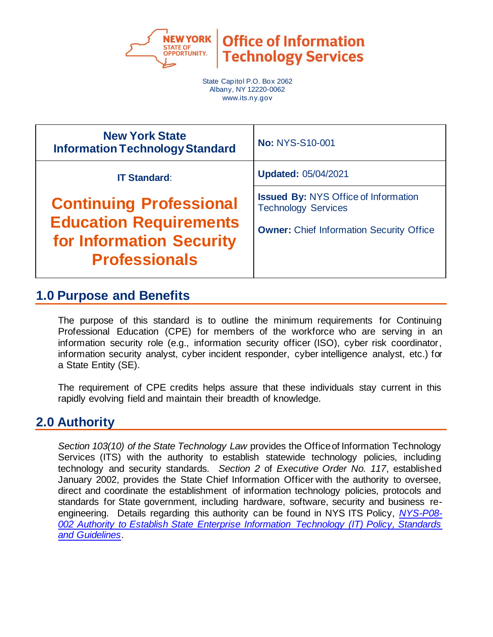

**Office of Information Technology Services** 

State Capitol P.O. Box 2062 Albany, NY 12220-0062 www.its.ny.gov

| <b>New York State</b><br><b>Information Technology Standard</b>                                                     | <b>No: NYS-S10-001</b>                                                                                                       |
|---------------------------------------------------------------------------------------------------------------------|------------------------------------------------------------------------------------------------------------------------------|
| <b>IT Standard:</b>                                                                                                 | <b>Updated: 05/04/2021</b>                                                                                                   |
| <b>Continuing Professional</b><br><b>Education Requirements</b><br>for Information Security<br><b>Professionals</b> | <b>Issued By: NYS Office of Information</b><br><b>Technology Services</b><br><b>Owner: Chief Information Security Office</b> |

### **1.0 Purpose and Benefits**

The purpose of this standard is to outline the minimum requirements for Continuing Professional Education (CPE) for members of the workforce who are serving in an information security role (e.g., information security officer (ISO), cyber risk coordinator, information security analyst, cyber incident responder, cyber intelligence analyst, etc.) for a State Entity (SE).

The requirement of CPE credits helps assure that these individuals stay current in this rapidly evolving field and maintain their breadth of knowledge.

### **2.0 Authority**

*Section 103(10) of the State Technology Law* provides the Office of Information Technology Services (ITS) with the authority to establish statewide technology policies, including technology and security standards. *Section 2* of *Executive Order No. 117*, established January 2002, provides the State Chief Information Officer with the authority to oversee, direct and coordinate the establishment of information technology policies, protocols and standards for State government, including hardware, software, security and business reengineering. Details regarding this authority can be found in NYS ITS Policy, *[NYS-P08-](https://its.ny.gov/document/authority-establish-state-enterprise-information-technology-it-policy-standards-and-guidelines) 002 Authority to Establish State [Enterprise Information Technology \(IT\) Policy, Standards](https://its.ny.gov/document/authority-establish-state-enterprise-information-technology-it-policy-standards-and-guidelines)  [and Guidelines](https://its.ny.gov/document/authority-establish-state-enterprise-information-technology-it-policy-standards-and-guidelines)*.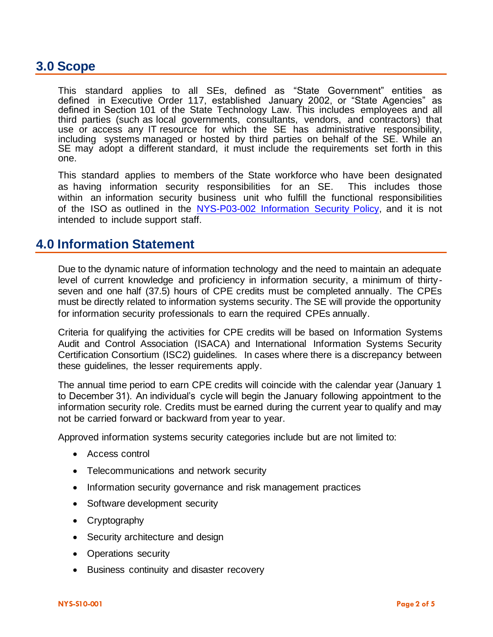#### **3.0 Scope**

This standard applies to all SEs, defined as "State Government" entities as defined in Executive Order 117, established January 2002, or "State Agencies" as defined in Section 101 of the State Technology Law. This includes employees and all third parties (such as local governments, consultants, vendors, and contractors) that use or access any IT resource for which the SE has administrative responsibility, including systems managed or hosted by third parties on behalf of the SE. While an SE may adopt a different standard, it must include the requirements set forth in this one.

This standard applies to members of the State workforce who have been designated as having information security responsibilities for an SE. This includes those within an information security business unit who fulfill the functional responsibilities of the ISO as outlined in the NYS-P03-002 [Information Security Policy,](http://www.its.ny.gov/tables/technologypolicyindex.htm/security) and it is not intended to include support staff.

#### **4.0 Information Statement**

Due to the dynamic nature of information technology and the need to maintain an adequate level of current knowledge and proficiency in information security, a minimum of thirtyseven and one half (37.5) hours of CPE credits must be completed annually. The CPEs must be directly related to information systems security. The SE will provide the opportunity for information security professionals to earn the required CPEs annually.

Criteria for qualifying the activities for CPE credits will be based on Information Systems Audit and Control Association (ISACA) and International Information Systems Security Certification Consortium (ISC2) guidelines. In cases where there is a discrepancy between these guidelines, the lesser requirements apply.

The annual time period to earn CPE credits will coincide with the calendar year (January 1 to December 31). An individual's cycle will begin the January following appointment to the information security role. Credits must be earned during the current year to qualify and may not be carried forward or backward from year to year.

Approved information systems security categories include but are not limited to:

- Access control
- Telecommunications and network security
- Information security governance and risk management practices
- Software development security
- Cryptography
- Security architecture and design
- Operations security
- Business continuity and disaster recovery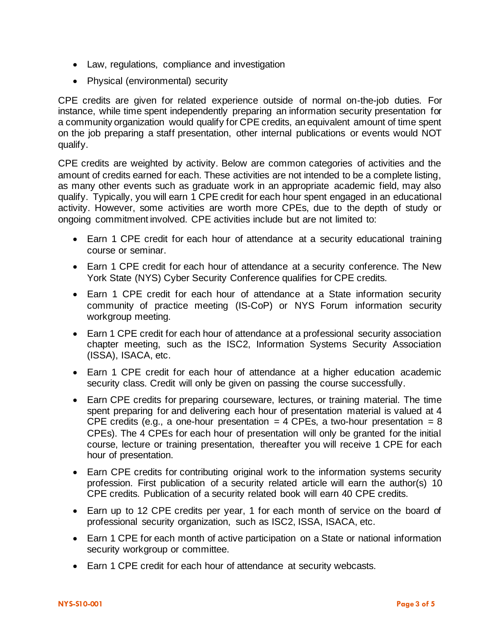- Law, regulations, compliance and investigation
- Physical (environmental) security

CPE credits are given for related experience outside of normal on-the-job duties. For instance, while time spent independently preparing an information security presentation for a community organization would qualify for CPE credits, an equivalent amount of time spent on the job preparing a staff presentation, other internal publications or events would NOT qualify.

CPE credits are weighted by activity. Below are common categories of activities and the amount of credits earned for each. These activities are not intended to be a complete listing, as many other events such as graduate work in an appropriate academic field, may also qualify. Typically, you will earn 1 CPE credit for each hour spent engaged in an educational activity. However, some activities are worth more CPEs, due to the depth of study or ongoing commitment involved. CPE activities include but are not limited to:

- Earn 1 CPE credit for each hour of attendance at a security educational training course or seminar.
- Earn 1 CPE credit for each hour of attendance at a security conference. The New York State (NYS) Cyber Security Conference qualifies for CPE credits.
- Earn 1 CPE credit for each hour of attendance at a State information security community of practice meeting (IS-CoP) or NYS Forum information security workgroup meeting.
- Earn 1 CPE credit for each hour of attendance at a professional security association chapter meeting, such as the ISC2, Information Systems Security Association (ISSA), ISACA, etc.
- Earn 1 CPE credit for each hour of attendance at a higher education academic security class. Credit will only be given on passing the course successfully.
- Earn CPE credits for preparing courseware, lectures, or training material. The time spent preparing for and delivering each hour of presentation material is valued at 4 CPE credits (e.g., a one-hour presentation = 4 CPEs, a two-hour presentation = 8 CPEs). The 4 CPEs for each hour of presentation will only be granted for the initial course, lecture or training presentation, thereafter you will receive 1 CPE for each hour of presentation.
- Earn CPE credits for contributing original work to the information systems security profession. First publication of a security related article will earn the author(s) 10 CPE credits. Publication of a security related book will earn 40 CPE credits.
- Earn up to 12 CPE credits per year, 1 for each month of service on the board of professional security organization, such as ISC2, ISSA, ISACA, etc.
- Earn 1 CPE for each month of active participation on a State or national information security workgroup or committee.
- Earn 1 CPE credit for each hour of attendance at security webcasts.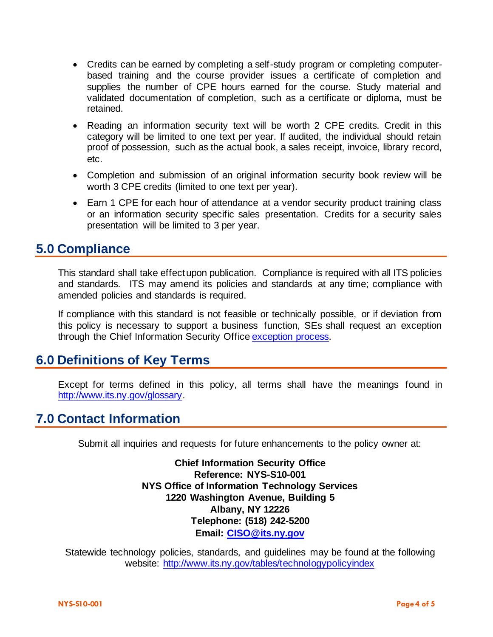- Credits can be earned by completing a self-study program or completing computerbased training and the course provider issues a certificate of completion and supplies the number of CPE hours earned for the course. Study material and validated documentation of completion, such as a certificate or diploma, must be retained.
- Reading an information security text will be worth 2 CPE credits. Credit in this category will be limited to one text per year. If audited, the individual should retain proof of possession, such as the actual book, a sales receipt, invoice, library record, etc.
- Completion and submission of an original information security book review will be worth 3 CPE credits (limited to one text per year).
- Earn 1 CPE for each hour of attendance at a vendor security product training class or an information security specific sales presentation. Credits for a security sales presentation will be limited to 3 per year.

### **5.0 Compliance**

This standard shall take effect upon publication. Compliance is required with all ITS policies and standards. ITS may amend its policies and standards at any time; compliance with amended policies and standards is required.

If compliance with this standard is not feasible or technically possible, or if deviation from this policy is necessary to support a business function, SEs shall request an exception through the Chief Information Security Offic[e exception process.](http://www.its.ny.gov/document/information-security-exception-policy)

### **6.0 Definitions of Key Terms**

Except for terms defined in this policy, all terms shall have the meanings found in [http://www.its.ny.gov/glossary.](http://www.its.ny.gov/glossary)

# **7.0 Contact Information**

Submit all inquiries and requests for future enhancements to the policy owner at:

**Chief Information Security Office Reference: NYS-S10-001 NYS Office of Information Technology Services 1220 Washington Avenue, Building 5 Albany, NY 12226 Telephone: (518) 242-5200 Email: [CISO@its.ny.gov](mailto:CISO@its.ny.gov)**

Statewide technology policies, standards, and guidelines may be found at the following website: <http://www.its.ny.gov/tables/technologypolicyindex>